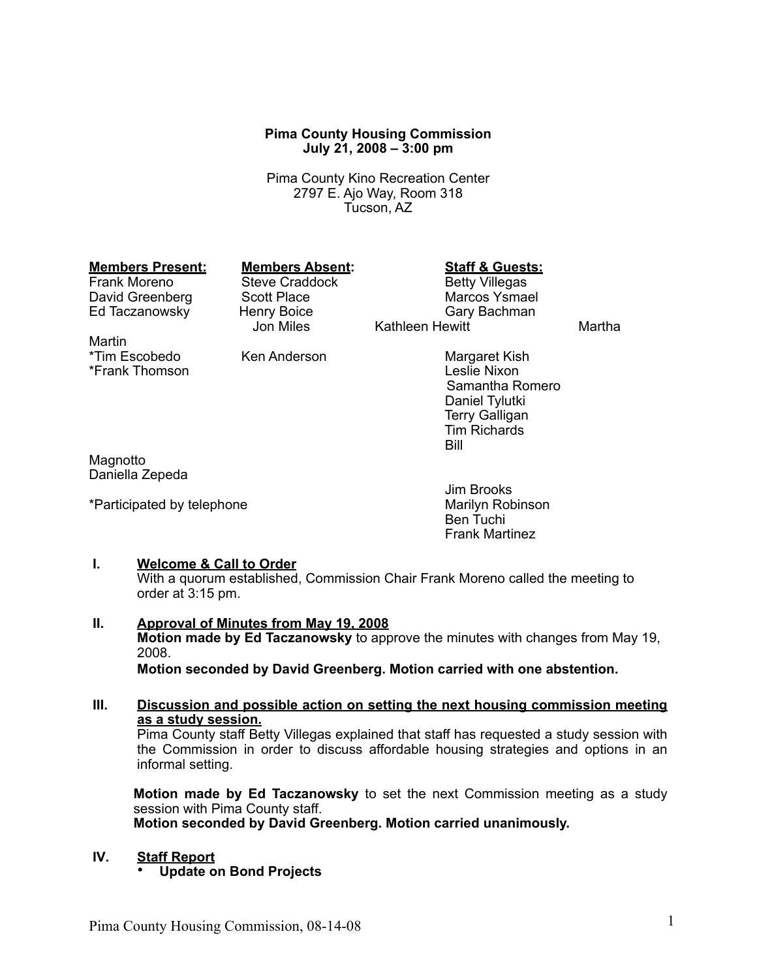#### **Pima County Housing Commission July 21, 2008 – 3:00 pm**

Pima County Kino Recreation Center 2797 E. Ajo Way, Room 318 Tucson, AZ

# **Members Present: Members Absent: Staff & Guests:**<br>
Frank Moreno Steve Craddock Betty Villegas

Martin<br>\*Tim Escobedo \*Frank Thomson

Ed Taczanowsky Henry Boice<br>Jon Miles

Frank Morel Craddock<br>Frank Morel Betty Villegas<br>Record Marcos Ysmael David Greenberg Scott Place Marcos Ysmael Kathleen Hewitt Martha

Ken Anderson Margaret Kish<br>
I eslie Nixon Samantha Romero Daniel Tylutki Terry Galligan Tim Richards Bill

Magnotto Daniella Zepeda

\*Participated by telephone

Jim Brooks Ben Tuchi Frank Martinez

#### **I. Welcome & Call to Order**

With a quorum established, Commission Chair Frank Moreno called the meeting to order at 3:15 pm.

**II. Approval of Minutes from May 19, 2008 Motion made by Ed Taczanowsky** to approve the minutes with changes from May 19, 2008. **Motion seconded by David Greenberg. Motion carried with one abstention.**

# **III. Discussion and possible action on setting the next housing commission meeting as a study session.**

Pima County staff Betty Villegas explained that staff has requested a study session with the Commission in order to discuss affordable housing strategies and options in an informal setting.

**Motion made by Ed Taczanowsky** to set the next Commission meeting as a study session with Pima County staff. **Motion seconded by David Greenberg. Motion carried unanimously.**

# **IV. Staff Report**

• **Update on Bond Projects**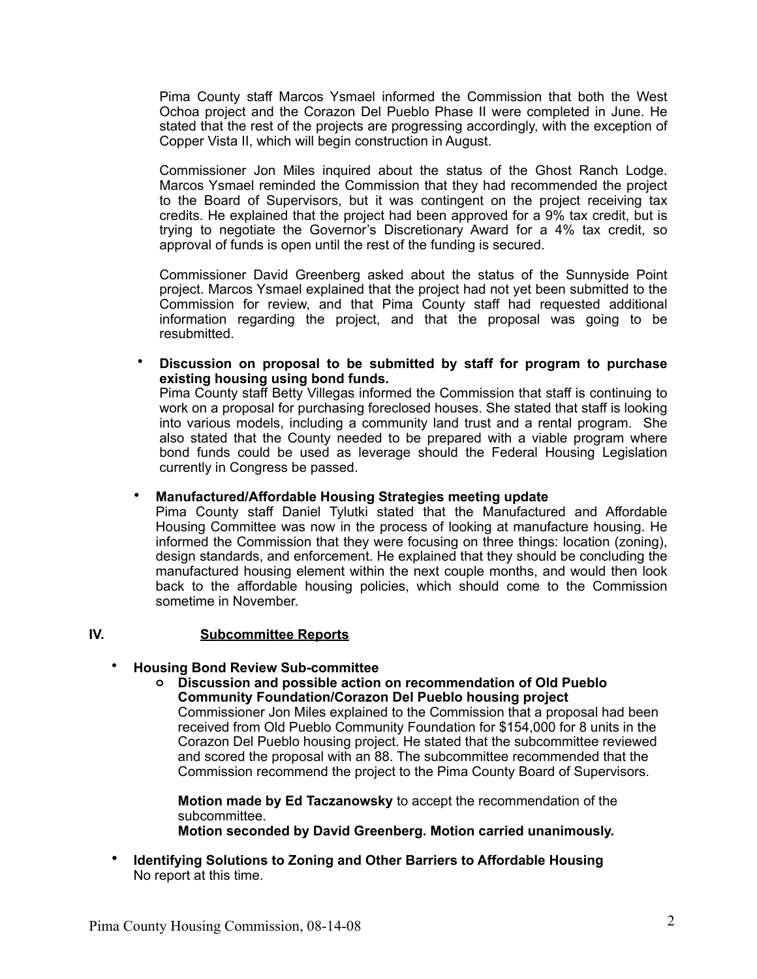Pima County staff Marcos Ysmael informed the Commission that both the West Ochoa project and the Corazon Del Pueblo Phase II were completed in June. He stated that the rest of the projects are progressing accordingly, with the exception of Copper Vista II, which will begin construction in August.

Commissioner Jon Miles inquired about the status of the Ghost Ranch Lodge. Marcos Ysmael reminded the Commission that they had recommended the project to the Board of Supervisors, but it was contingent on the project receiving tax credits. He explained that the project had been approved for a 9% tax credit, but is trying to negotiate the Governor's Discretionary Award for a 4% tax credit, so approval of funds is open until the rest of the funding is secured.

Commissioner David Greenberg asked about the status of the Sunnyside Point project. Marcos Ysmael explained that the project had not yet been submitted to the Commission for review, and that Pima County staff had requested additional information regarding the project, and that the proposal was going to be resubmitted.

• **Discussion on proposal to be submitted by staff for program to purchase existing housing using bond funds.** 

Pima County staff Betty Villegas informed the Commission that staff is continuing to work on a proposal for purchasing foreclosed houses. She stated that staff is looking into various models, including a community land trust and a rental program. She also stated that the County needed to be prepared with a viable program where bond funds could be used as leverage should the Federal Housing Legislation currently in Congress be passed.

#### • **Manufactured/Affordable Housing Strategies meeting update**

Pima County staff Daniel Tylutki stated that the Manufactured and Affordable Housing Committee was now in the process of looking at manufacture housing. He informed the Commission that they were focusing on three things: location (zoning), design standards, and enforcement. He explained that they should be concluding the manufactured housing element within the next couple months, and would then look back to the affordable housing policies, which should come to the Commission sometime in November.

# **IV. Subcommittee Reports**

#### • **Housing Bond Review Sub-committee**

**o Discussion and possible action on recommendation of Old Pueblo Community Foundation/Corazon Del Pueblo housing project**

Commissioner Jon Miles explained to the Commission that a proposal had been received from Old Pueblo Community Foundation for \$154,000 for 8 units in the Corazon Del Pueblo housing project. He stated that the subcommittee reviewed and scored the proposal with an 88. The subcommittee recommended that the Commission recommend the project to the Pima County Board of Supervisors.

**Motion made by Ed Taczanowsky** to accept the recommendation of the subcommittee. **Motion seconded by David Greenberg. Motion carried unanimously.**

• **Identifying Solutions to Zoning and Other Barriers to Affordable Housing** No report at this time.